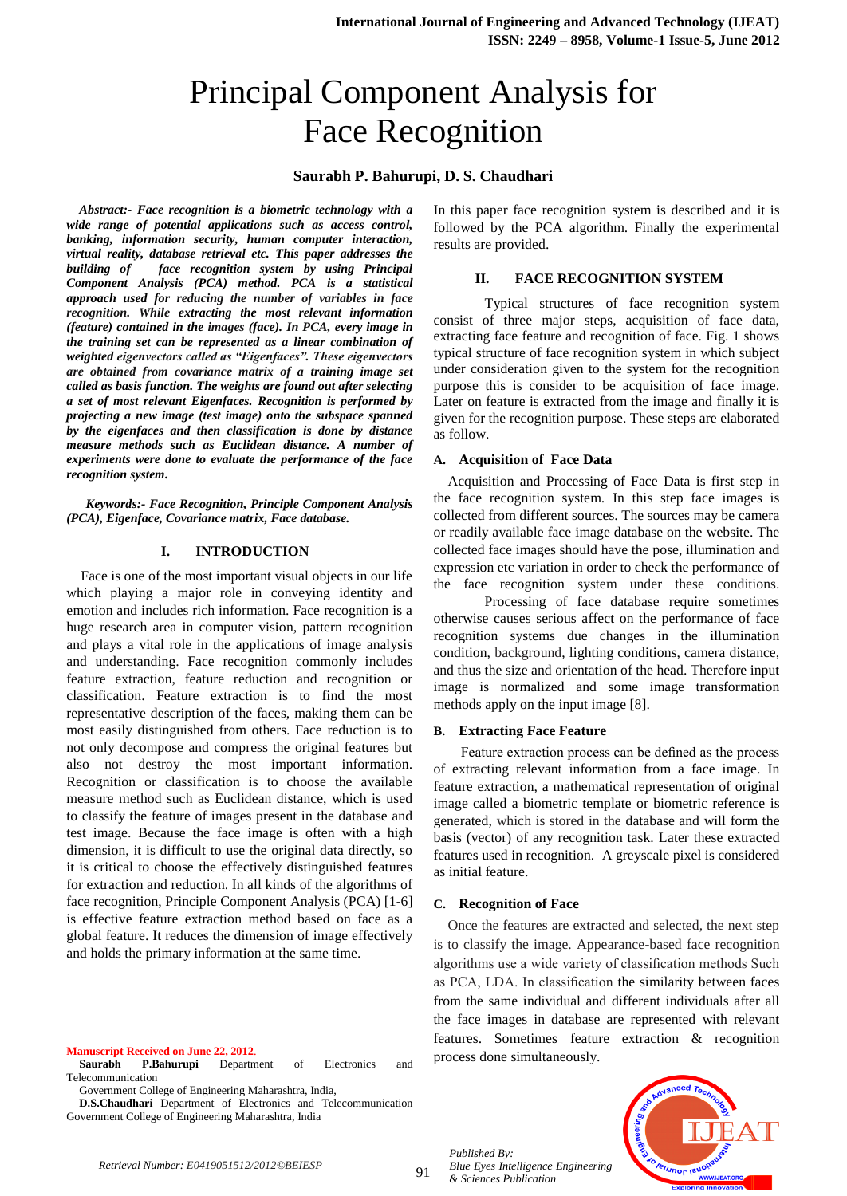# Principal Component Analysis for Face Recognition

# **Saurabh P. Bahurupi, D. S. Chaudhari**

*Abstract:- Face recognition is a biometric technology with a wide range of potential applications such as access control, banking, information security, human computer interaction, virtual reality, database retrieval etc. This paper addresses the building of face recognition system by using Principal Component Analysis (PCA) method. PCA is a statistical approach used for reducing the number of variables in face recognition. While extracting the most relevant information (feature) contained in the images (face). In PCA, every image in the training set can be represented as a linear combination of weighted eigenvectors called as "Eigenfaces". These eigenvectors are obtained from covariance matrix of a training image set called as basis function. The weights are found out after selecting a set of most relevant Eigenfaces. Recognition is performed by projecting a new image (test image) onto the subspace spanned by the eigenfaces and then classification is done by distance measure methods such as Euclidean distance. A number of experiments were done to evaluate the performance of the face recognition system.*

 *Keywords:- Face Recognition, Principle Component Analysis (PCA), Eigenface, Covariance matrix, Face database.*

#### **I. INTRODUCTION**

Face is one of the most important visual objects in our life which playing a major role in conveying identity and emotion and includes rich information. Face recognition is a huge research area in computer vision, pattern recognition and plays a vital role in the applications of image analysis and understanding. Face recognition commonly includes feature extraction, feature reduction and recognition or classification. Feature extraction is to find the most representative description of the faces, making them can be most easily distinguished from others. Face reduction is to not only decompose and compress the original features but also not destroy the most important information. Recognition or classification is to choose the available measure method such as Euclidean distance, which is used to classify the feature of images present in the database and test image. Because the face image is often with a high dimension, it is difficult to use the original data directly, so it is critical to choose the effectively distinguished features for extraction and reduction. In all kinds of the algorithms of face recognition, Principle Component Analysis (PCA) [1-6] is effective feature extraction method based on face as a global feature. It reduces the dimension of image effectively and holds the primary information at the same time.

**Manuscript Received on June 22, 2012**. **Saurabh P.Bahurupi** Department of Electronics and Telecommunication

Government College of Engineering Maharashtra, India,

**D.S.Chaudhari** Department of Electronics and Telecommunication Government College of Engineering Maharashtra, India

In this paper face recognition system is described and it is followed by the PCA algorithm. Finally the experimental results are provided.

## **II. FACE RECOGNITION SYSTEM**

Typical structures of face recognition system consist of three major steps, acquisition of face data, extracting face feature and recognition of face. Fig. 1 shows typical structure of face recognition system in which subject under consideration given to the system for the recognition purpose this is consider to be acquisition of face image. Later on feature is extracted from the image and finally it is given for the recognition purpose. These steps are elaborated as follow.

#### **A. Acquisition of Face Data**

Acquisition and Processing of Face Data is first step in the face recognition system. In this step face images is collected from different sources. The sources may be camera or readily available face image database on the website. The collected face images should have the pose, illumination and expression etc variation in order to check the performance of the face recognition system under these conditions.

Processing of face database require sometimes otherwise causes serious affect on the performance of face recognition systems due changes in the illumination condition, background, lighting conditions, camera distance, and thus the size and orientation of the head. Therefore input image is normalized and some image transformation methods apply on the input image [8].

#### **B. Extracting Face Feature**

 Feature extraction process can be defined as the process of extracting relevant information from a face image. In feature extraction, a mathematical representation of original image called a biometric template or biometric reference is generated, which is stored in the database and will form the basis (vector) of any recognition task. Later these extracted features used in recognition. A greyscale pixel is considered as initial feature.

#### **C. Recognition of Face**

 Once the features are extracted and selected, the next step is to classify the image. Appearance-based face recognition algorithms use a wide variety of classification methods Such as PCA, LDA. In classification the similarity between faces from the same individual and different individuals after all the face images in database are represented with relevant features. Sometimes feature extraction & recognition process done simultaneously.

*Published By: Blue Eyes Intelligence Engineering & Sciences Publication* 

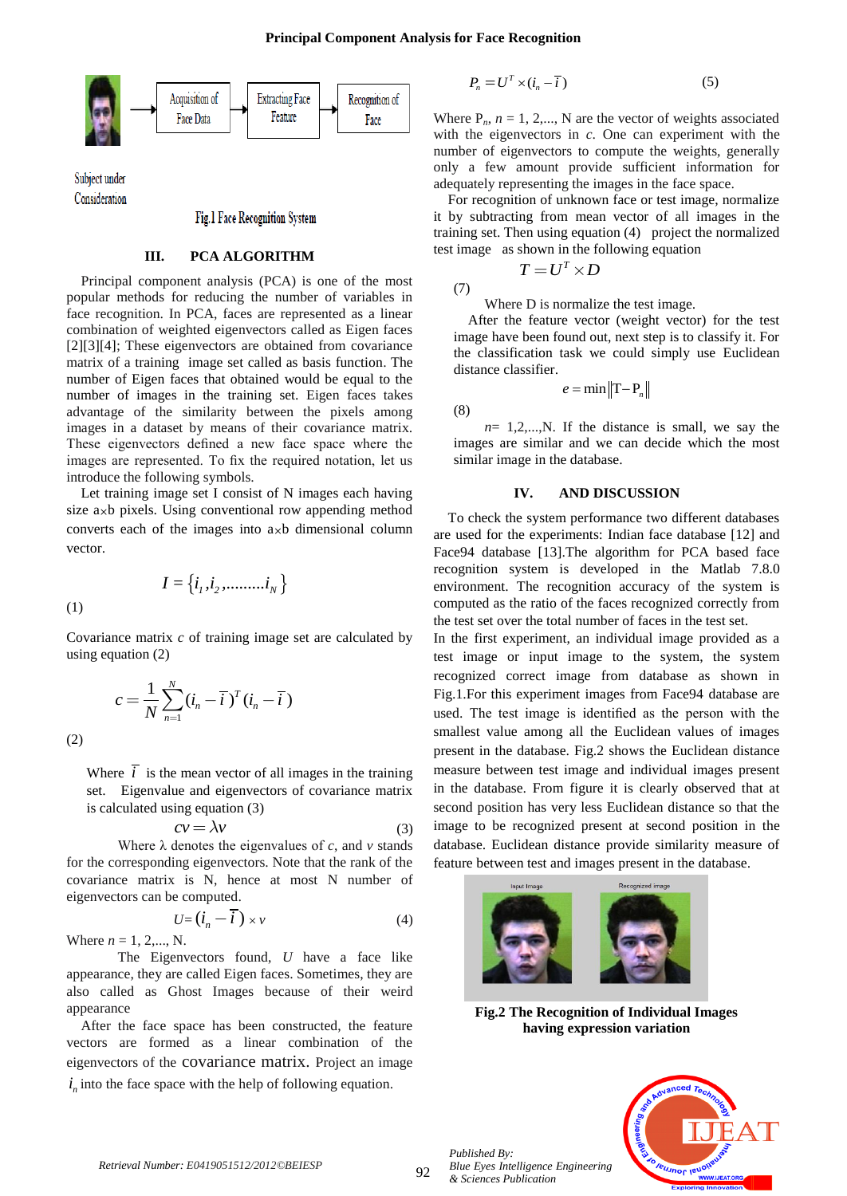

Subject under Consideration

Fig.1 Face Recognition System

# **III. PCA ALGORITHM**

Principal component analysis (PCA) is one of the most popular methods for reducing the number of variables in face recognition. In PCA, faces are represented as a linear combination of weighted eigenvectors called as Eigen faces [2][3][4]; These eigenvectors are obtained from covariance matrix of a training image set called as basis function. The number of Eigen faces that obtained would be equal to the number of images in the training set. Eigen faces takes advantage of the similarity between the pixels among images in a dataset by means of their covariance matrix. These eigenvectors defined a new face space where the images are represented. To fix the required notation, let us introduce the following symbols.

Let training image set I consist of N images each having size  $a_{\times}b$  pixels. Using conventional row appending method converts each of the images into  $a_{\times}b$  dimensional column vector.

 $I = \{i_1, i_2, \dots, i_N\}$ 

(1)

Covariance matrix *c* of training image set are calculated by using equation (2)

$$
c = \frac{1}{N} \sum_{n=1}^{N} (i_n - \overline{i})^T (i_n - \overline{i})
$$

(2)

Where  $\overline{i}$  is the mean vector of all images in the training set. Eigenvalue and eigenvectors of covariance matrix is calculated using equation (3)

$$
cv = \lambda v \tag{3}
$$

Where  $\lambda$  denotes the eigenvalues of *c*, and *v* stands for the corresponding eigenvectors. Note that the rank of the covariance matrix is N, hence at most N number of eigenvectors can be computed.

$$
U = (\dot{i}_n - \overline{i}) \times \nu \tag{4}
$$

Where  $n = 1, 2, ..., N$ .

The Eigenvectors found, *U* have a face like appearance, they are called Eigen faces. Sometimes, they are also called as Ghost Images because of their weird appearance

After the face space has been constructed, the feature vectors are formed as a linear combination of the eigenvectors of the covariance matrix. Project an image  $i_n$  into the face space with the help of following equation.

$$
P_n = U^T \times (i_n - \overline{i})
$$
 (5)

Where  $P_n$ ,  $n = 1, 2,..., N$  are the vector of weights associated with the eigenvectors in *c*. One can experiment with the number of eigenvectors to compute the weights, generally only a few amount provide sufficient information for adequately representing the images in the face space.

For recognition of unknown face or test image, normalize it by subtracting from mean vector of all images in the training set. Then using equation (4) project the normalized test image as shown in the following equation

$$
(7)
$$

Where D is normalize the test image.

 $T = U^T \times D$ 

After the feature vector (weight vector) for the test image have been found out, next step is to classify it. For the classification task we could simply use Euclidean distance classifier.

$$
e = \min \| \mathrm{T} - \mathrm{P}_n \|
$$

(8)

 $n=1,2,...,N$ . If the distance is small, we say the images are similar and we can decide which the most similar image in the database.

## **IV. AND DISCUSSION**

To check the system performance two different databases are used for the experiments: Indian face database [12] and Face94 database [13].The algorithm for PCA based face recognition system is developed in the Matlab 7.8.0 environment. The recognition accuracy of the system is computed as the ratio of the faces recognized correctly from the test set over the total number of faces in the test set.

In the first experiment, an individual image provided as a test image or input image to the system, the system recognized correct image from database as shown in Fig.1.For this experiment images from Face94 database are used. The test image is identified as the person with the smallest value among all the Euclidean values of images present in the database. Fig.2 shows the Euclidean distance measure between test image and individual images present in the database. From figure it is clearly observed that at second position has very less Euclidean distance so that the image to be recognized present at second position in the database. Euclidean distance provide similarity measure of feature between test and images present in the database.



**Fig.2 The Recognition of Individual Images having expression variation**



*Published By:*

*& Sciences Publication*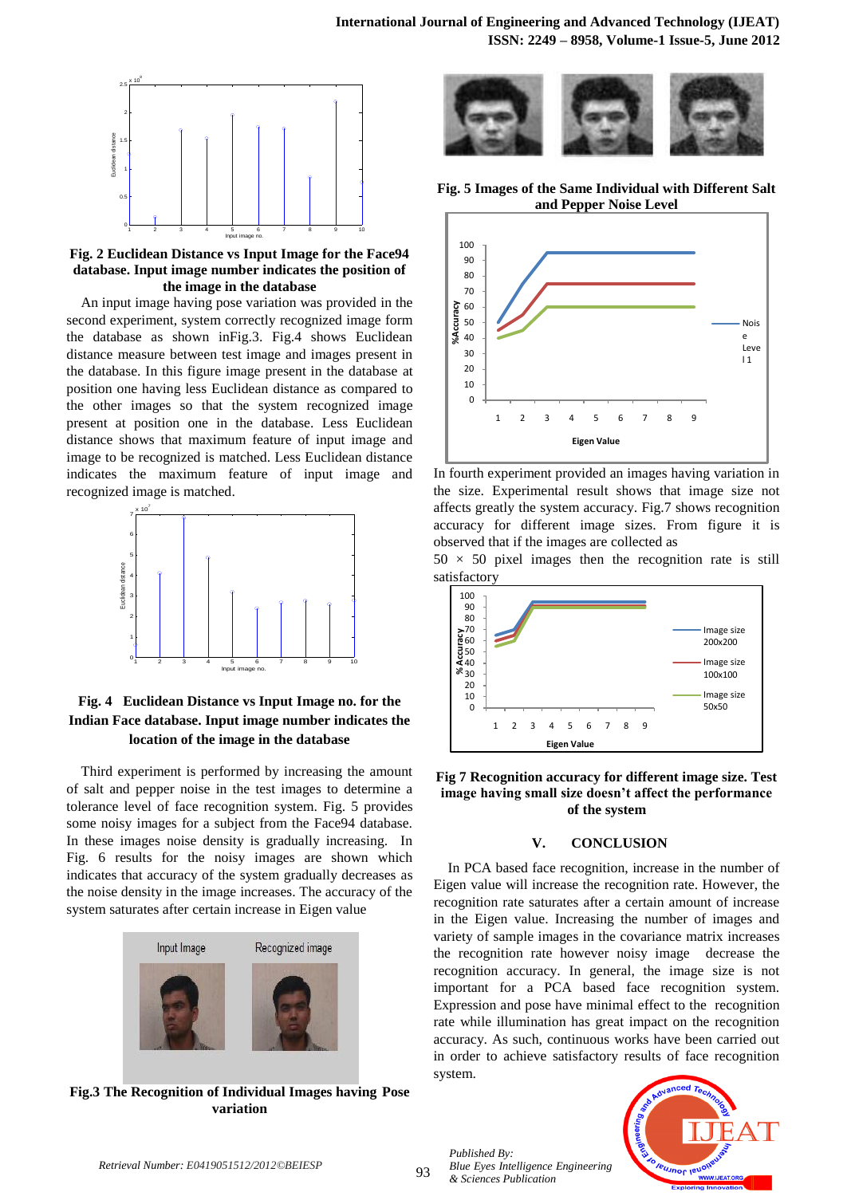

**Fig. 2 Euclidean Distance vs Input Image for the Face94 database. Input image number indicates the position of the image in the database**

An input image having pose variation was provided in the second experiment, system correctly recognized image form the database as shown inFig.3. Fig.4 shows Euclidean distance measure between test image and images present in the database. In this figure image present in the database at position one having less Euclidean distance as compared to the other images so that the system recognized image present at position one in the database. Less Euclidean distance shows that maximum feature of input image and image to be recognized is matched. Less Euclidean distance indicates the maximum feature of input image and recognized image is matched.



# **Fig. 4 Euclidean Distance vs Input Image no. for the Indian Face database. Input image number indicates the location of the image in the database**

Third experiment is performed by increasing the amount of salt and pepper noise in the test images to determine a tolerance level of face recognition system. Fig. 5 provides some noisy images for a subject from the Face94 database. In these images noise density is gradually increasing. In Fig. 6 results for the noisy images are shown which indicates that accuracy of the system gradually decreases as the noise density in the image increases. The accuracy of the system saturates after certain increase in Eigen value



**Fig.3 The Recognition of Individual Images having Pose variation**



**Fig. 5 Images of the Same Individual with Different Salt and Pepper Noise Level**



In fourth experiment provided an images having variation in the size. Experimental result shows that image size not affects greatly the system accuracy. Fig.7 shows recognition accuracy for different image sizes. From figure it is observed that if the images are collected as

 $50 \times 50$  pixel images then the recognition rate is still satisfactory



**Fig 7 Recognition accuracy for different image size. Test image having small size doesn't affect the performance of the system**

# **V. CONCLUSION**

In PCA based face recognition, increase in the number of Eigen value will increase the recognition rate. However, the recognition rate saturates after a certain amount of increase in the Eigen value. Increasing the number of images and variety of sample images in the covariance matrix increases the recognition rate however noisy image decrease the recognition accuracy. In general, the image size is not important for a PCA based face recognition system. Expression and pose have minimal effect to the recognition rate while illumination has great impact on the recognition accuracy. As such, continuous works have been carried out in order to achieve satisfactory results of face recognition system.

*Published By: Blue Eyes Intelligence Engineering & Sciences Publication*